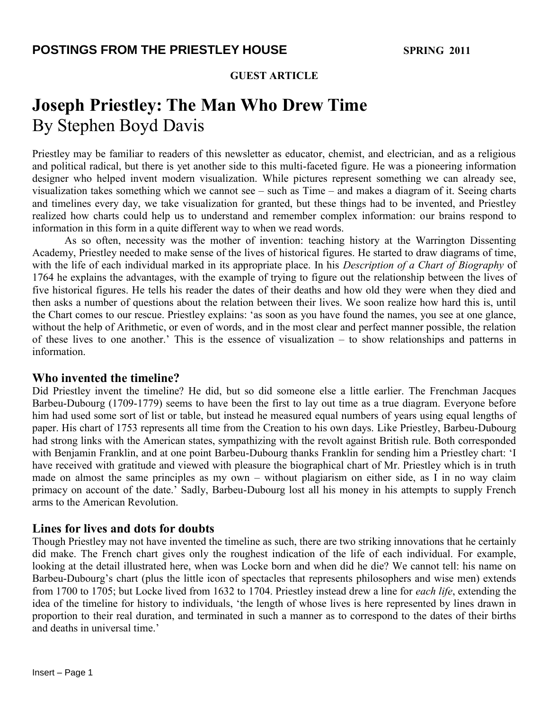### **GUEST ARTICLE**

# **Joseph Priestley: The Man Who Drew Time** By Stephen Boyd Davis

Priestley may be familiar to readers of this newsletter as educator, chemist, and electrician, and as a religious and political radical, but there is yet another side to this multi-faceted figure. He was a pioneering information designer who helped invent modern visualization. While pictures represent something we can already see, visualization takes something which we cannot see – such as Time – and makes a diagram of it. Seeing charts and timelines every day, we take visualization for granted, but these things had to be invented, and Priestley realized how charts could help us to understand and remember complex information: our brains respond to information in this form in a quite different way to when we read words.

As so often, necessity was the mother of invention: teaching history at the Warrington Dissenting Academy, Priestley needed to make sense of the lives of historical figures. He started to draw diagrams of time, with the life of each individual marked in its appropriate place. In his *Description of a Chart of Biography* of 1764 he explains the advantages, with the example of trying to figure out the relationship between the lives of five historical figures. He tells his reader the dates of their deaths and how old they were when they died and then asks a number of questions about the relation between their lives. We soon realize how hard this is, until the Chart comes to our rescue. Priestley explains: 'as soon as you have found the names, you see at one glance, without the help of Arithmetic, or even of words, and in the most clear and perfect manner possible, the relation of these lives to one another.' This is the essence of visualization – to show relationships and patterns in information.

#### **Who invented the timeline?**

Did Priestley invent the timeline? He did, but so did someone else a little earlier. The Frenchman Jacques Barbeu-Dubourg (1709-1779) seems to have been the first to lay out time as a true diagram. Everyone before him had used some sort of list or table, but instead he measured equal numbers of years using equal lengths of paper. His chart of 1753 represents all time from the Creation to his own days. Like Priestley, Barbeu-Dubourg had strong links with the American states, sympathizing with the revolt against British rule. Both corresponded with Benjamin Franklin, and at one point Barbeu-Dubourg thanks Franklin for sending him a Priestley chart: 'I have received with gratitude and viewed with pleasure the biographical chart of Mr. Priestley which is in truth made on almost the same principles as my own – without plagiarism on either side, as I in no way claim primacy on account of the date.' Sadly, Barbeu-Dubourg lost all his money in his attempts to supply French arms to the American Revolution.

## **Lines for lives and dots for doubts**

Though Priestley may not have invented the timeline as such, there are two striking innovations that he certainly did make. The French chart gives only the roughest indication of the life of each individual. For example, looking at the detail illustrated here, when was Locke born and when did he die? We cannot tell: his name on Barbeu-Dubourg's chart (plus the little icon of spectacles that represents philosophers and wise men) extends from 1700 to 1705; but Locke lived from 1632 to 1704. Priestley instead drew a line for *each life*, extending the idea of the timeline for history to individuals, 'the length of whose lives is here represented by lines drawn in proportion to their real duration, and terminated in such a manner as to correspond to the dates of their births and deaths in universal time.'